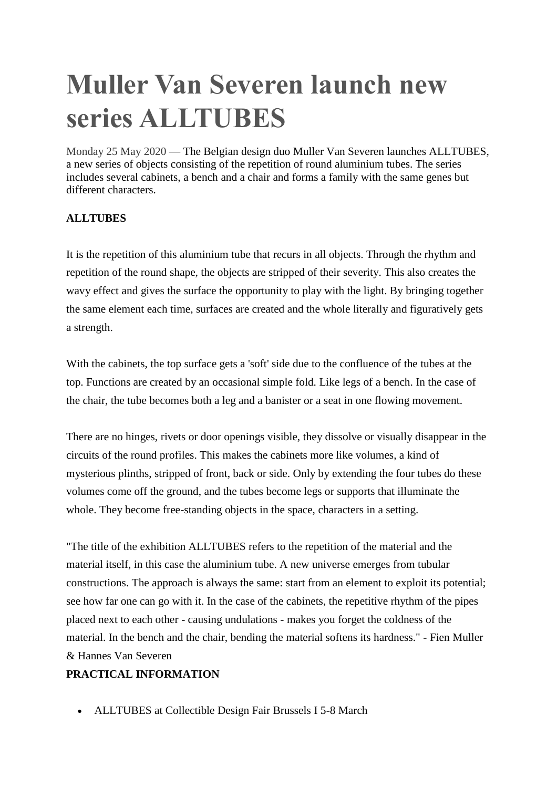## **Muller Van Severen launch new series ALLTUBES**

Monday 25 May 2020 — The Belgian design duo Muller Van Severen launches ALLTUBES, a new series of objects consisting of the repetition of round aluminium tubes. The series includes several cabinets, a bench and a chair and forms a family with the same genes but different characters.

## **ALLTUBES**

It is the repetition of this aluminium tube that recurs in all objects. Through the rhythm and repetition of the round shape, the objects are stripped of their severity. This also creates the wavy effect and gives the surface the opportunity to play with the light. By bringing together the same element each time, surfaces are created and the whole literally and figuratively gets a strength.

With the cabinets, the top surface gets a 'soft' side due to the confluence of the tubes at the top. Functions are created by an occasional simple fold. Like legs of a bench. In the case of the chair, the tube becomes both a leg and a banister or a seat in one flowing movement.

There are no hinges, rivets or door openings visible, they dissolve or visually disappear in the circuits of the round profiles. This makes the cabinets more like volumes, a kind of mysterious plinths, stripped of front, back or side. Only by extending the four tubes do these volumes come off the ground, and the tubes become legs or supports that illuminate the whole. They become free-standing objects in the space, characters in a setting.

"The title of the exhibition ALLTUBES refers to the repetition of the material and the material itself, in this case the aluminium tube. A new universe emerges from tubular constructions. The approach is always the same: start from an element to exploit its potential; see how far one can go with it. In the case of the cabinets, the repetitive rhythm of the pipes placed next to each other - causing undulations - makes you forget the coldness of the material. In the bench and the chair, bending the material softens its hardness." - Fien Muller & Hannes Van Severen

## **PRACTICAL INFORMATION**

ALLTUBES at Collectible Design Fair Brussels I 5-8 March